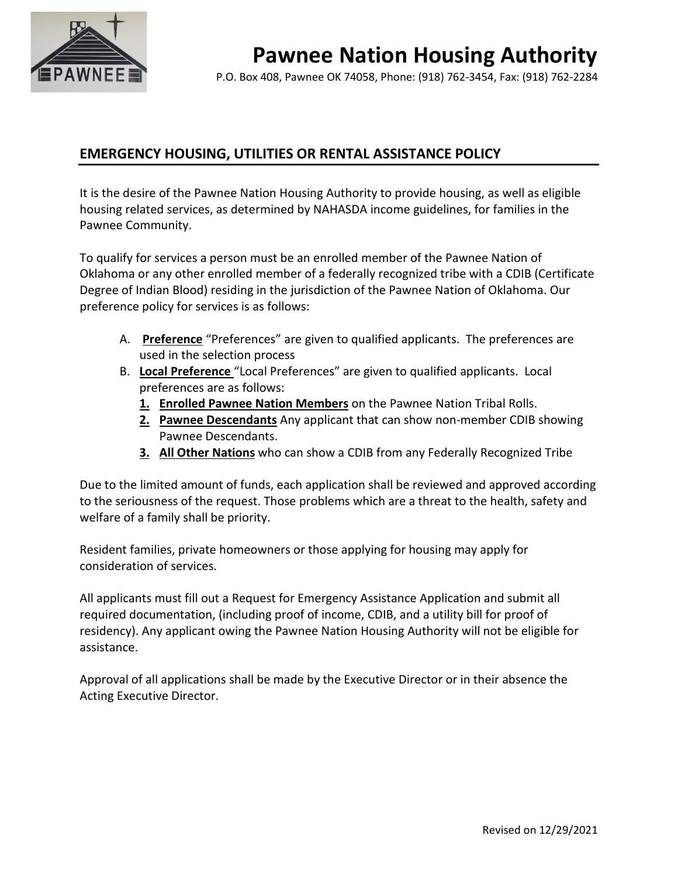

# **Pawnee Nation Housing Authority**

P.O. Box 408, Pawnee OK 74058, Phone: (918) 762-3454, Fax: (918) 762-2284

## **EMERGENCY HOUSING, UTILITIES OR RENTAL ASSISTANCE POLICY**

It is the desire of the Pawnee Nation Housing Authority to provide housing, as well as eligible housing related services, as determined by NAHASDA income guidelines, for families in the Pawnee Community.

To qualify for services a person must be an enrolled member of the Pawnee Nation of Oklahoma or any other enrolled member of a federally recognized tribe with a CDIB (Certificate Degree of Indian Blood) residing in the jurisdiction of the Pawnee Nation of Oklahoma. Our preference policy for services is as follows:

- A. **Preference** "Preferences" are given to qualified applicants. The preferences are used in the selection process
- B. **Local Preference** "Local Preferences" are given to qualified applicants. Local preferences are as follows:
	- **1. Enrolled Pawnee Nation Members** on the Pawnee Nation Tribal Rolls.
	- **2. Pawnee Descendants** Any applicant that can show non-member CDIB showing Pawnee Descendants.
	- **3. All Other Nations** who can show a CDIB from any Federally Recognized Tribe

Due to the limited amount of funds, each application shall be reviewed and approved according to the seriousness of the request. Those problems which are a threat to the health, safety and welfare of a family shall be priority.

Resident families, private homeowners or those applying for housing may apply for consideration of services.

All applicants must fill out a Request for Emergency Assistance Application and submit all required documentation, (including proof of income, CDIB, and a utility bill for proof of residency). Any applicant owing the Pawnee Nation Housing Authority will not be eligible for assistance.

Approval of all applications shall be made by the Executive Director or in their absence the Acting Executive Director.